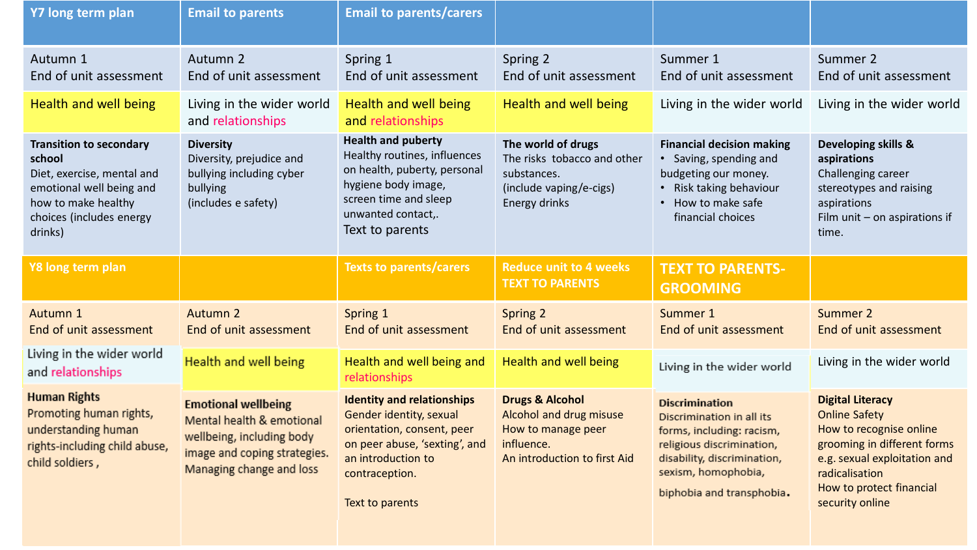| Y7 long term plan                                                                                                                                                | <b>Email to parents</b>                                                                                                                          | <b>Email to parents/carers</b>                                                                                                                                                     |                                                                                                                           |                                                                                                                                                                                                 |                                                                                                                                                                                         |
|------------------------------------------------------------------------------------------------------------------------------------------------------------------|--------------------------------------------------------------------------------------------------------------------------------------------------|------------------------------------------------------------------------------------------------------------------------------------------------------------------------------------|---------------------------------------------------------------------------------------------------------------------------|-------------------------------------------------------------------------------------------------------------------------------------------------------------------------------------------------|-----------------------------------------------------------------------------------------------------------------------------------------------------------------------------------------|
| Autumn 1<br>End of unit assessment                                                                                                                               | Autumn 2<br>End of unit assessment                                                                                                               | Spring 1<br>End of unit assessment                                                                                                                                                 | Spring 2<br>End of unit assessment                                                                                        | Summer 1<br>End of unit assessment                                                                                                                                                              | Summer 2<br>End of unit assessment                                                                                                                                                      |
| Health and well being                                                                                                                                            | Living in the wider world<br>and relationships                                                                                                   | <b>Health and well being</b><br>and relationships                                                                                                                                  | Health and well being                                                                                                     | Living in the wider world                                                                                                                                                                       | Living in the wider world                                                                                                                                                               |
| <b>Transition to secondary</b><br>school<br>Diet, exercise, mental and<br>emotional well being and<br>how to make healthy<br>choices (includes energy<br>drinks) | <b>Diversity</b><br>Diversity, prejudice and<br>bullying including cyber<br>bullying<br>(includes e safety)                                      | <b>Health and puberty</b><br>Healthy routines, influences<br>on health, puberty, personal<br>hygiene body image,<br>screen time and sleep<br>unwanted contact,.<br>Text to parents | The world of drugs<br>The risks tobacco and other<br>substances.<br>(include vaping/e-cigs)<br>Energy drinks              | <b>Financial decision making</b><br>• Saving, spending and<br>budgeting our money.<br>• Risk taking behaviour<br>• How to make safe<br>financial choices                                        | Developing skills &<br>aspirations<br>Challenging career<br>stereotypes and raising<br>aspirations<br>Film unit $-$ on aspirations if<br>time.                                          |
| Y8 long term plan                                                                                                                                                |                                                                                                                                                  | <b>Texts to parents/carers</b>                                                                                                                                                     | <b>Reduce unit to 4 weeks</b><br><b>TEXT TO PARENTS</b>                                                                   | <b>TEXT TO PARENTS-</b><br><b>GROOMING</b>                                                                                                                                                      |                                                                                                                                                                                         |
| Autumn 1<br>End of unit assessment                                                                                                                               | Autumn 2<br>End of unit assessment                                                                                                               | Spring 1<br>End of unit assessment                                                                                                                                                 | Spring 2<br>End of unit assessment                                                                                        | Summer 1<br>End of unit assessment                                                                                                                                                              | Summer 2<br>End of unit assessment                                                                                                                                                      |
| Living in the wider world<br>and relationships                                                                                                                   | Health and well being                                                                                                                            | Health and well being and<br>relationships                                                                                                                                         | Health and well being                                                                                                     | Living in the wider world                                                                                                                                                                       | Living in the wider world                                                                                                                                                               |
| <b>Human Rights</b><br>Promoting human rights,<br>understanding human<br>rights-including child abuse,<br>child soldiers,                                        | <b>Emotional wellbeing</b><br>Mental health & emotional<br>wellbeing, including body<br>image and coping strategies.<br>Managing change and loss | <b>Identity and relationships</b><br>Gender identity, sexual<br>orientation, consent, peer<br>on peer abuse, 'sexting', and<br>an introduction to<br>contraception.                | <b>Drugs &amp; Alcohol</b><br>Alcohol and drug misuse<br>How to manage peer<br>influence.<br>An introduction to first Aid | <b>Discrimination</b><br>Discrimination in all its<br>forms, including: racism,<br>religious discrimination,<br>disability, discrimination,<br>sexism, homophobia,<br>biphobia and transphobia. | <b>Digital Literacy</b><br><b>Online Safety</b><br>How to recognise online<br>grooming in different forms<br>e.g. sexual exploitation and<br>radicalisation<br>How to protect financial |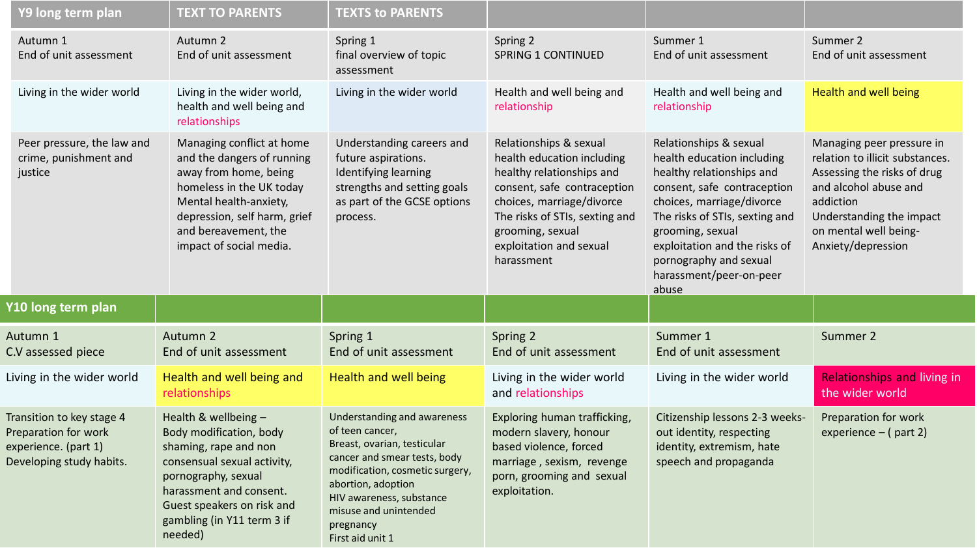| Y9 long term plan                                                                                     | <b>TEXT TO PARENTS</b>                                                                                                                                                                                                    | <b>TEXTS to PARENTS</b>                                                                                                                                                                                                     |                                                                                                                                                                                                                                              |                                                                                                                                                                                                                                                                                                    |                                                                                                                                                                                                              |
|-------------------------------------------------------------------------------------------------------|---------------------------------------------------------------------------------------------------------------------------------------------------------------------------------------------------------------------------|-----------------------------------------------------------------------------------------------------------------------------------------------------------------------------------------------------------------------------|----------------------------------------------------------------------------------------------------------------------------------------------------------------------------------------------------------------------------------------------|----------------------------------------------------------------------------------------------------------------------------------------------------------------------------------------------------------------------------------------------------------------------------------------------------|--------------------------------------------------------------------------------------------------------------------------------------------------------------------------------------------------------------|
| Autumn 1<br>End of unit assessment                                                                    | Autumn 2<br>End of unit assessment                                                                                                                                                                                        | Spring 1<br>final overview of topic<br>assessment                                                                                                                                                                           | Spring 2<br><b>SPRING 1 CONTINUED</b>                                                                                                                                                                                                        | Summer 1<br>End of unit assessment                                                                                                                                                                                                                                                                 | Summer 2<br>End of unit assessment                                                                                                                                                                           |
| Living in the wider world                                                                             | Living in the wider world,<br>health and well being and<br>relationships                                                                                                                                                  | Living in the wider world                                                                                                                                                                                                   | Health and well being and<br>relationship                                                                                                                                                                                                    | Health and well being and<br>relationship                                                                                                                                                                                                                                                          | Health and well being                                                                                                                                                                                        |
| Peer pressure, the law and<br>crime, punishment and<br>justice                                        | Managing conflict at home<br>and the dangers of running<br>away from home, being<br>homeless in the UK today<br>Mental health-anxiety,<br>depression, self harm, grief<br>and bereavement, the<br>impact of social media. | Understanding careers and<br>future aspirations.<br>Identifying learning<br>strengths and setting goals<br>as part of the GCSE options<br>process.                                                                          | Relationships & sexual<br>health education including<br>healthy relationships and<br>consent, safe contraception<br>choices, marriage/divorce<br>The risks of STIs, sexting and<br>grooming, sexual<br>exploitation and sexual<br>harassment | Relationships & sexual<br>health education including<br>healthy relationships and<br>consent, safe contraception<br>choices, marriage/divorce<br>The risks of STIs, sexting and<br>grooming, sexual<br>exploitation and the risks of<br>pornography and sexual<br>harassment/peer-on-peer<br>abuse | Managing peer pressure in<br>relation to illicit substances.<br>Assessing the risks of drug<br>and alcohol abuse and<br>addiction<br>Understanding the impact<br>on mental well being-<br>Anxiety/depression |
| Y10 long term plan                                                                                    |                                                                                                                                                                                                                           |                                                                                                                                                                                                                             |                                                                                                                                                                                                                                              |                                                                                                                                                                                                                                                                                                    |                                                                                                                                                                                                              |
| Autumn 1<br>C.V assessed piece                                                                        | Autumn 2<br>End of unit assessment                                                                                                                                                                                        | Spring 1<br>End of unit assessment                                                                                                                                                                                          | Spring 2<br>End of unit assessment                                                                                                                                                                                                           | Summer 1<br>End of unit assessment                                                                                                                                                                                                                                                                 | Summer 2                                                                                                                                                                                                     |
| Living in the wider world                                                                             | Health and well being and<br>relationships                                                                                                                                                                                | Health and well being                                                                                                                                                                                                       | Living in the wider world<br>and relationships                                                                                                                                                                                               | Living in the wider world                                                                                                                                                                                                                                                                          | <b>Relationships and living in</b><br>the wider world                                                                                                                                                        |
| Transition to key stage 4<br>Preparation for work<br>experience. (part 1)<br>Developing study habits. | Health & wellbeing -<br>Body modification, body<br>shaming, rape and non<br>consensual sexual activity,<br>pornography, sexual<br>harassment and consent.<br>Guest speakers on risk and                                   | Understanding and awareness<br>of teen cancer,<br>Breast, ovarian, testicular<br>cancer and smear tests, body<br>modification, cosmetic surgery,<br>abortion, adoption<br>HIV awareness, substance<br>misuse and unintended | Exploring human trafficking,<br>modern slavery, honour<br>based violence, forced<br>marriage, sexism, revenge<br>porn, grooming and sexual<br>exploitation.                                                                                  | Citizenship lessons 2-3 weeks-<br>Preparation for work<br>out identity, respecting<br>experience $-$ (part 2)<br>identity, extremism, hate<br>speech and propaganda                                                                                                                                |                                                                                                                                                                                                              |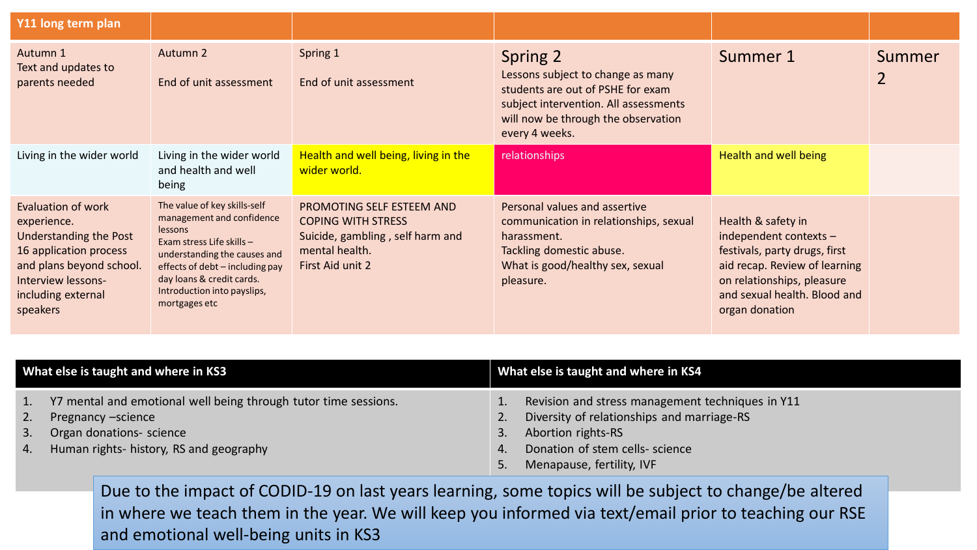| Y11 long term plan                                                                                                                                                        |                                                                                                                                                                                                                                                   |                                                                                                                                  |                                                                                                                                                                                      |                                                                                                                                                                                                  |                          |
|---------------------------------------------------------------------------------------------------------------------------------------------------------------------------|---------------------------------------------------------------------------------------------------------------------------------------------------------------------------------------------------------------------------------------------------|----------------------------------------------------------------------------------------------------------------------------------|--------------------------------------------------------------------------------------------------------------------------------------------------------------------------------------|--------------------------------------------------------------------------------------------------------------------------------------------------------------------------------------------------|--------------------------|
| Autumn 1<br>Text and updates to<br>parents needed                                                                                                                         | Autumn 2<br>End of unit assessment                                                                                                                                                                                                                | Spring 1<br>End of unit assessment                                                                                               | Spring 2<br>Lessons subject to change as many<br>students are out of PSHE for exam<br>subject intervention. All assessments<br>will now be through the observation<br>every 4 weeks. | Summer 1                                                                                                                                                                                         | Summer<br>$\overline{2}$ |
| Living in the wider world                                                                                                                                                 | Living in the wider world<br>and health and well<br>being                                                                                                                                                                                         | Health and well being, living in the<br>wider world.                                                                             | relationships                                                                                                                                                                        | Health and well being                                                                                                                                                                            |                          |
| Evaluation of work<br>experience.<br>Understanding the Post<br>16 application process<br>and plans beyond school.<br>Interview lessons-<br>including external<br>speakers | The value of key skills-self<br>management and confidence<br>lessons<br>Exam stress Life skills -<br>understanding the causes and<br>effects of debt - including pay<br>day loans & credit cards.<br>Introduction into payslips,<br>mortgages etc | PROMOTING SELF ESTEEM AND<br><b>COPING WITH STRESS</b><br>Suicide, gambling, self harm and<br>mental health.<br>First Aid unit 2 | Personal values and assertive<br>communication in relationships, sexual<br>harassment.<br>Tackling domestic abuse.<br>What is good/healthy sex, sexual<br>pleasure.                  | Health & safety in<br>independent contexts $-$<br>festivals, party drugs, first<br>aid recap. Review of learning<br>on relationships, pleasure<br>and sexual health. Blood and<br>organ donation |                          |

| What else is taught and where in KS3                                                                                                                                        | What else is taught and where in KS4                                                                                                                                                                         |  |  |
|-----------------------------------------------------------------------------------------------------------------------------------------------------------------------------|--------------------------------------------------------------------------------------------------------------------------------------------------------------------------------------------------------------|--|--|
| Y7 mental and emotional well being through tutor time sessions.<br>Pregnancy -science<br>2.<br>Organ donations- science<br>3.<br>4. Human rights- history, RS and geography | Revision and stress management techniques in Y11<br>Diversity of relationships and marriage-RS<br>2.<br>Abortion rights-RS<br>3.<br>Donation of stem cells- science<br>4.<br>Menapause, fertility, IVF<br>5. |  |  |

Due to the impact of CODID-19 on last years learning, some topics will be subject to change/be altered in where we teach them in the year. We will keep you informed via text/email prior to teaching our RSE and emotional well-being units in KS3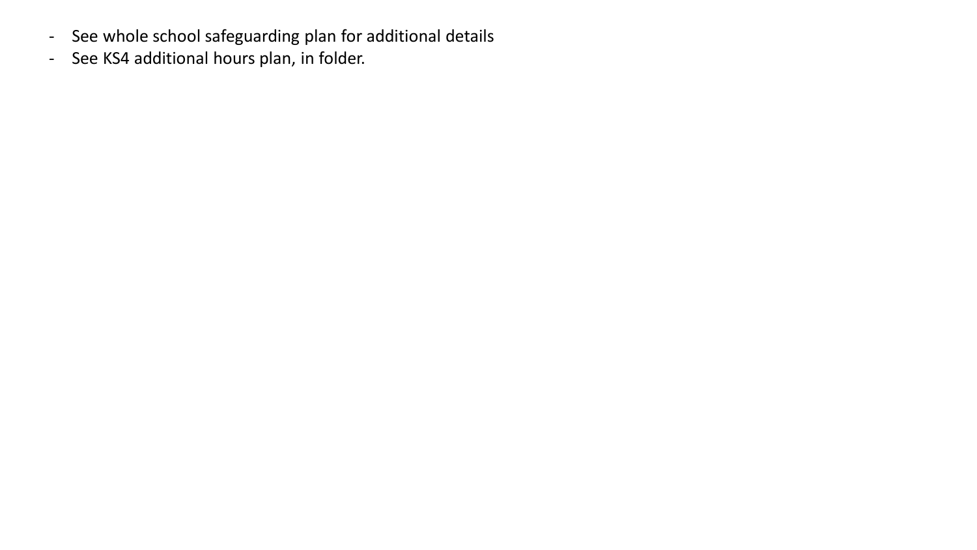- See whole school safeguarding plan for additional details
- See KS4 additional hours plan, in folder.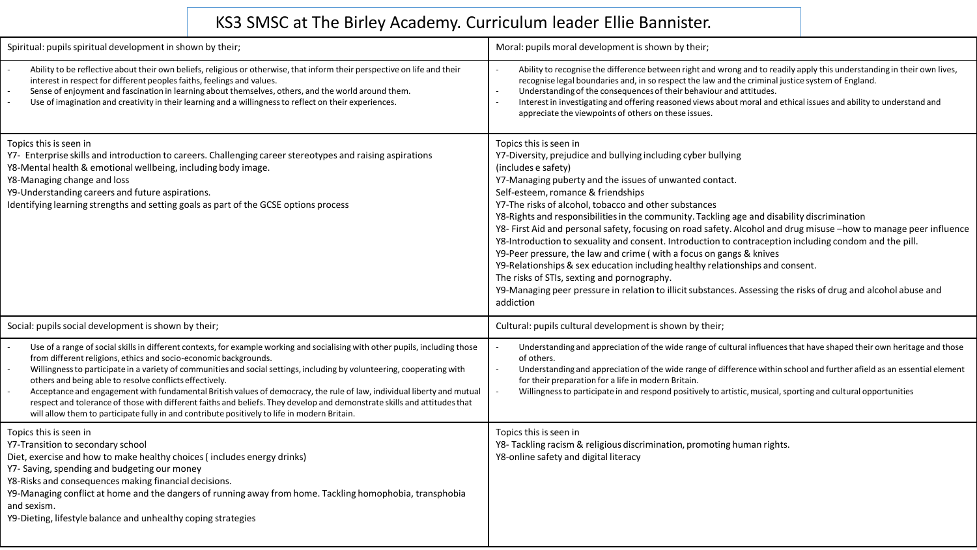## KS3 SMSC at The Birley Academy. Curriculum leader Ellie Bannister.

| Spiritual: pupils spiritual development in shown by their;                                                                                                                                                                                                                                                                                                                                                                                                                                                                                                                                                                                                                                                                                    | Moral: pupils moral development is shown by their;                                                                                                                                                                                                                                                                                                                                                                                                                                                                                                                                                                                                                                                                                                                                                                                                                                                                                           |
|-----------------------------------------------------------------------------------------------------------------------------------------------------------------------------------------------------------------------------------------------------------------------------------------------------------------------------------------------------------------------------------------------------------------------------------------------------------------------------------------------------------------------------------------------------------------------------------------------------------------------------------------------------------------------------------------------------------------------------------------------|----------------------------------------------------------------------------------------------------------------------------------------------------------------------------------------------------------------------------------------------------------------------------------------------------------------------------------------------------------------------------------------------------------------------------------------------------------------------------------------------------------------------------------------------------------------------------------------------------------------------------------------------------------------------------------------------------------------------------------------------------------------------------------------------------------------------------------------------------------------------------------------------------------------------------------------------|
| Ability to be reflective about their own beliefs, religious or otherwise, that inform their perspective on life and their<br>interest in respect for different peoples faiths, feelings and values.<br>Sense of enjoyment and fascination in learning about themselves, others, and the world around them.<br>Use of imagination and creativity in their learning and a willingness to reflect on their experiences.                                                                                                                                                                                                                                                                                                                          | Ability to recognise the difference between right and wrong and to readily apply this understanding in their own lives,<br>recognise legal boundaries and, in so respect the law and the criminal justice system of England.<br>Understanding of the consequences of their behaviour and attitudes.<br>Interest in investigating and offering reasoned views about moral and ethical issues and ability to understand and<br>appreciate the viewpoints of others on these issues.                                                                                                                                                                                                                                                                                                                                                                                                                                                            |
| Topics this is seen in<br>Y7- Enterprise skills and introduction to careers. Challenging career stereotypes and raising aspirations<br>Y8-Mental health & emotional wellbeing, including body image.<br>Y8-Managing change and loss<br>Y9-Understanding careers and future aspirations.<br>Identifying learning strengths and setting goals as part of the GCSE options process                                                                                                                                                                                                                                                                                                                                                               | Topics this is seen in<br>Y7-Diversity, prejudice and bullying including cyber bullying<br>(includes e safety)<br>Y7-Managing puberty and the issues of unwanted contact.<br>Self-esteem, romance & friendships<br>Y7-The risks of alcohol, tobacco and other substances<br>Y8-Rights and responsibilities in the community. Tackling age and disability discrimination<br>Y8- First Aid and personal safety, focusing on road safety. Alcohol and drug misuse -how to manage peer influence<br>Y8-Introduction to sexuality and consent. Introduction to contraception including condom and the pill.<br>Y9-Peer pressure, the law and crime (with a focus on gangs & knives<br>Y9-Relationships & sex education including healthy relationships and consent.<br>The risks of STIs, sexting and pornography.<br>Y9-Managing peer pressure in relation to illicit substances. Assessing the risks of drug and alcohol abuse and<br>addiction |
| Social: pupils social development is shown by their;                                                                                                                                                                                                                                                                                                                                                                                                                                                                                                                                                                                                                                                                                          | Cultural: pupils cultural development is shown by their;                                                                                                                                                                                                                                                                                                                                                                                                                                                                                                                                                                                                                                                                                                                                                                                                                                                                                     |
| Use of a range of social skills in different contexts, for example working and socialising with other pupils, including those<br>from different religions, ethics and socio-economic backgrounds.<br>Willingness to participate in a variety of communities and social settings, including by volunteering, cooperating with<br>others and being able to resolve conflicts effectively.<br>Acceptance and engagement with fundamental British values of democracy, the rule of law, individual liberty and mutual<br>respect and tolerance of those with different faiths and beliefs. They develop and demonstrate skills and attitudes that<br>will allow them to participate fully in and contribute positively to life in modern Britain. | Understanding and appreciation of the wide range of cultural influences that have shaped their own heritage and those<br>of others.<br>Understanding and appreciation of the wide range of difference within school and further afield as an essential element<br>for their preparation for a life in modern Britain.<br>Willingness to participate in and respond positively to artistic, musical, sporting and cultural opportunities                                                                                                                                                                                                                                                                                                                                                                                                                                                                                                      |
| Topics this is seen in<br>Y7-Transition to secondary school<br>Diet, exercise and how to make healthy choices (includes energy drinks)<br>Y7- Saving, spending and budgeting our money<br>Y8-Risks and consequences making financial decisions.<br>Y9-Managing conflict at home and the dangers of running away from home. Tackling homophobia, transphobia<br>and sexism.<br>Y9-Dieting, lifestyle balance and unhealthy coping strategies                                                                                                                                                                                                                                                                                                   | Topics this is seen in<br>Y8- Tackling racism & religious discrimination, promoting human rights.<br>Y8-online safety and digital literacy                                                                                                                                                                                                                                                                                                                                                                                                                                                                                                                                                                                                                                                                                                                                                                                                   |